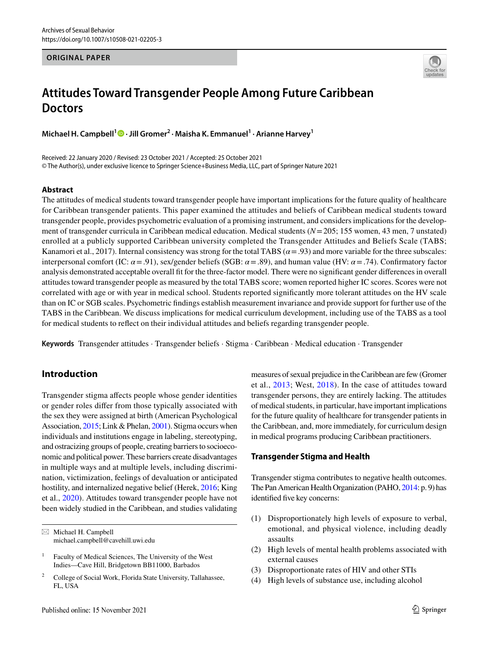#### **ORIGINAL PAPER**



# **Attitudes Toward Transgender People Among Future Caribbean Doctors**

**Michael H. Campbell[1](http://orcid.org/0000-0002-5927-2612) · Jill Gromer2 · Maisha K. Emmanuel1 · Arianne Harvey<sup>1</sup>**

Received: 22 January 2020 / Revised: 23 October 2021 / Accepted: 25 October 2021 © The Author(s), under exclusive licence to Springer Science+Business Media, LLC, part of Springer Nature 2021

## **Abstract**

The attitudes of medical students toward transgender people have important implications for the future quality of healthcare for Caribbean transgender patients. This paper examined the attitudes and beliefs of Caribbean medical students toward transgender people, provides psychometric evaluation of a promising instrument, and considers implications for the development of transgender curricula in Caribbean medical education. Medical students (*N*=205; 155 women, 43 men, 7 unstated) enrolled at a publicly supported Caribbean university completed the Transgender Attitudes and Beliefs Scale (TABS; Kanamori et al., 2017). Internal consistency was strong for the total TABS ( $\alpha$  = .93) and more variable for the three subscales: interpersonal comfort (IC: *α*=.91), sex/gender beliefs (SGB: *α*=.89), and human value (HV: *α*=.74). Confrmatory factor analysis demonstrated acceptable overall ft for the three-factor model. There were no signifcant gender diferences in overall attitudes toward transgender people as measured by the total TABS score; women reported higher IC scores. Scores were not correlated with age or with year in medical school. Students reported signifcantly more tolerant attitudes on the HV scale than on IC or SGB scales. Psychometric fndings establish measurement invariance and provide support for further use of the TABS in the Caribbean. We discuss implications for medical curriculum development, including use of the TABS as a tool for medical students to refect on their individual attitudes and beliefs regarding transgender people.

**Keywords** Transgender attitudes · Transgender beliefs · Stigma · Caribbean · Medical education · Transgender

# **Introduction**

Transgender stigma afects people whose gender identities or gender roles difer from those typically associated with the sex they were assigned at birth (American Psychological Association, [2015](#page-6-0); Link & Phelan, [2001](#page-7-0)). Stigma occurs when individuals and institutions engage in labeling, stereotyping, and ostracizing groups of people, creating barriers to socioeconomic and political power. These barriers create disadvantages in multiple ways and at multiple levels, including discrimination, victimization, feelings of devaluation or anticipated hostility, and internalized negative belief (Herek, [2016](#page-6-1); King et al., [2020](#page-7-1)). Attitudes toward transgender people have not been widely studied in the Caribbean, and studies validating

 $\boxtimes$  Michael H. Campbell michael.campbell@cavehill.uwi.edu

Published online: 15 November 2021

measures of sexual prejudice in the Caribbean are few (Gromer et al., [2013;](#page-6-2) West, [2018](#page-8-0)). In the case of attitudes toward transgender persons, they are entirely lacking. The attitudes of medical students, in particular, have important implications for the future quality of healthcare for transgender patients in the Caribbean, and, more immediately, for curriculum design in medical programs producing Caribbean practitioners.

# **Transgender Stigma and Health**

Transgender stigma contributes to negative health outcomes. The Pan American Health Organization (PAHO, [2014:](#page-7-2) p. 9) has identifed fve key concerns:

- (1) Disproportionately high levels of exposure to verbal, emotional, and physical violence, including deadly assaults
- (2) High levels of mental health problems associated with external causes
- (3) Disproportionate rates of HIV and other STIs
- (4) High levels of substance use, including alcohol

<sup>&</sup>lt;sup>1</sup> Faculty of Medical Sciences, The University of the West Indies—Cave Hill, Bridgetown BB11000, Barbados

<sup>2</sup> College of Social Work, Florida State University, Tallahassee, FL, USA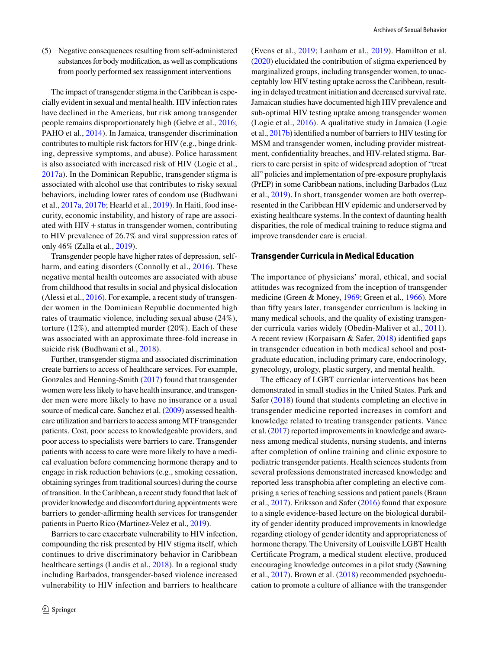(5) Negative consequences resulting from self-administered substances for body modifcation, as well as complications from poorly performed sex reassignment interventions

The impact of transgender stigma in the Caribbean is especially evident in sexual and mental health. HIV infection rates have declined in the Americas, but risk among transgender people remains disproportionately high (Gebre et al., [2016](#page-6-3); PAHO et al., [2014\)](#page-7-2). In Jamaica, transgender discrimination contributes to multiple risk factors for HIV (e.g., binge drinking, depressive symptoms, and abuse). Police harassment is also associated with increased risk of HIV (Logie et al., [2017a](#page-7-3)). In the Dominican Republic, transgender stigma is associated with alcohol use that contributes to risky sexual behaviors, including lower rates of condom use (Budhwani et al., [2017a](#page-6-4), [2017b;](#page-6-4) Hearld et al., [2019\)](#page-6-5). In Haiti, food insecurity, economic instability, and history of rape are associated with HIV +status in transgender women, contributing to HIV prevalence of 26.7% and viral suppression rates of only 46% (Zalla et al., [2019](#page-8-1)).

Transgender people have higher rates of depression, self-harm, and eating disorders (Connolly et al., [2016\)](#page-6-6). These negative mental health outcomes are associated with abuse from childhood that results in social and physical dislocation (Alessi et al., [2016](#page-6-7)). For example, a recent study of transgender women in the Dominican Republic documented high rates of traumatic violence, including sexual abuse (24%), torture (12%), and attempted murder (20%). Each of these was associated with an approximate three-fold increase in suicide risk (Budhwani et al., [2018](#page-6-8)).

Further, transgender stigma and associated discrimination create barriers to access of healthcare services. For example, Gonzales and Henning-Smith [\(2017](#page-6-9)) found that transgender women were less likely to have health insurance, and transgender men were more likely to have no insurance or a usual source of medical care. Sanchez et al. [\(2009\)](#page-7-4) assessed healthcare utilization and barriers to access among MTF transgender patients. Cost, poor access to knowledgeable providers, and poor access to specialists were barriers to care. Transgender patients with access to care were more likely to have a medical evaluation before commencing hormone therapy and to engage in risk reduction behaviors (e.g., smoking cessation, obtaining syringes from traditional sources) during the course of transition. In the Caribbean, a recent study found that lack of provider knowledge and discomfort during appointments were barriers to gender-affirming health services for transgender patients in Puerto Rico (Martinez-Velez et al., [2019\)](#page-7-5).

Barriers to care exacerbate vulnerability to HIV infection, compounding the risk presented by HIV stigma itself, which continues to drive discriminatory behavior in Caribbean healthcare settings (Landis et al., [2018](#page-7-6)). In a regional study including Barbados, transgender-based violence increased vulnerability to HIV infection and barriers to healthcare (Evens et al., [2019](#page-6-10); Lanham et al., [2019](#page-7-7)). Hamilton et al. [\(2020](#page-6-11)) elucidated the contribution of stigma experienced by marginalized groups, including transgender women, to unacceptably low HIV testing uptake across the Caribbean, resulting in delayed treatment initiation and decreased survival rate. Jamaican studies have documented high HIV prevalence and sub-optimal HIV testing uptake among transgender women (Logie et al., [2016\)](#page-7-8). A qualitative study in Jamaica (Logie et al., [2017b](#page-7-9)) identifed a number of barriers to HIV testing for MSM and transgender women, including provider mistreatment, confdentiality breaches, and HIV-related stigma. Barriers to care persist in spite of widespread adoption of "treat all" policies and implementation of pre-exposure prophylaxis (PrEP) in some Caribbean nations, including Barbados (Luz et al., [2019](#page-7-10)). In short, transgender women are both overrepresented in the Caribbean HIV epidemic and underserved by existing healthcare systems. In the context of daunting health disparities, the role of medical training to reduce stigma and improve transdender care is crucial.

#### **Transgender Curricula in Medical Education**

The importance of physicians' moral, ethical, and social attitudes was recognized from the inception of transgender medicine (Green & Money, [1969](#page-6-12); Green et al., [1966](#page-6-13)). More than ffty years later, transgender curriculum is lacking in many medical schools, and the quality of existing transgender curricula varies widely (Obedin-Maliver et al., [2011](#page-7-11)). A recent review (Korpaisarn & Safer, [2018](#page-7-12)) identifed gaps in transgender education in both medical school and postgraduate education, including primary care, endocrinology, gynecology, urology, plastic surgery, and mental health.

The efficacy of LGBT curricular interventions has been demonstrated in small studies in the United States. Park and Safer ([2018](#page-7-13)) found that students completing an elective in transgender medicine reported increases in comfort and knowledge related to treating transgender patients. Vance et al. ([2017\)](#page-8-2) reported improvements in knowledge and awareness among medical students, nursing students, and interns after completion of online training and clinic exposure to pediatric transgender patients. Health sciences students from several professions demonstrated increased knowledge and reported less transphobia after completing an elective comprising a series of teaching sessions and patient panels (Braun et al., [2017](#page-6-14)). Eriksson and Safer [\(2016\)](#page-6-15) found that exposure to a single evidence-based lecture on the biological durability of gender identity produced improvements in knowledge regarding etiology of gender identity and appropriateness of hormone therapy. The University of Louisville LGBT Health Certifcate Program, a medical student elective, produced encouraging knowledge outcomes in a pilot study (Sawning et al., [2017](#page-7-14)). Brown et al. ([2018](#page-6-16)) recommended psychoeducation to promote a culture of alliance with the transgender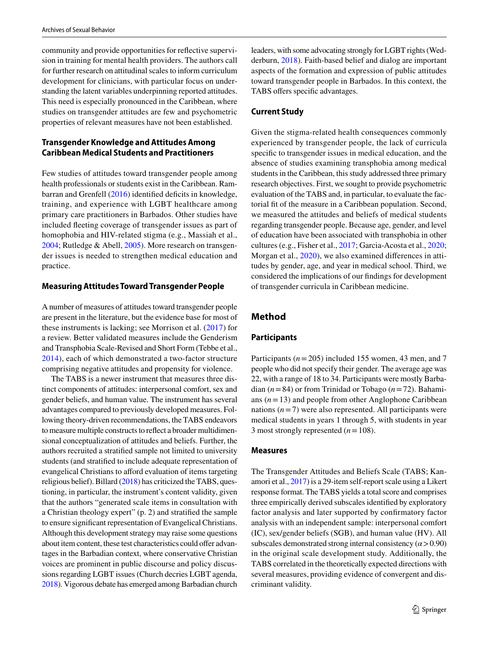community and provide opportunities for refective supervision in training for mental health providers. The authors call for further research on attitudinal scales to inform curriculum development for clinicians, with particular focus on understanding the latent variables underpinning reported attitudes. This need is especially pronounced in the Caribbean, where studies on transgender attitudes are few and psychometric properties of relevant measures have not been established.

# **Transgender Knowledge and Attitudes Among Caribbean Medical Students and Practitioners**

Few studies of attitudes toward transgender people among health professionals or students exist in the Caribbean. Ram-barran and Grenfell [\(2016](#page-7-15)) identified deficits in knowledge, training, and experience with LGBT healthcare among primary care practitioners in Barbados. Other studies have included feeting coverage of transgender issues as part of homophobia and HIV-related stigma (e.g., Massiah et al., [2004](#page-7-16); Rutledge & Abell, [2005\)](#page-7-17). More research on transgender issues is needed to strengthen medical education and practice.

# **Measuring Attitudes Toward Transgender People**

A number of measures of attitudes toward transgender people are present in the literature, but the evidence base for most of these instruments is lacking; see Morrison et al. [\(2017\)](#page-7-18) for a review. Better validated measures include the Genderism and Transphobia Scale-Revised and Short Form (Tebbe et al., [2014\)](#page-8-3), each of which demonstrated a two-factor structure comprising negative attitudes and propensity for violence.

The TABS is a newer instrument that measures three distinct components of attitudes: interpersonal comfort, sex and gender beliefs, and human value. The instrument has several advantages compared to previously developed measures. Following theory-driven recommendations, the TABS endeavors to measure multiple constructs to refect a broader multidimensional conceptualization of attitudes and beliefs. Further, the authors recruited a stratifed sample not limited to university students (and stratifed to include adequate representation of evangelical Christians to afford evaluation of items targeting religious belief). Billard [\(2018\)](#page-6-17) has criticized the TABS, questioning, in particular, the instrument's content validity, given that the authors "generated scale items in consultation with a Christian theology expert" (p. 2) and stratifed the sample to ensure signifcant representation of Evangelical Christians. Although this development strategy may raise some questions about item content, these test characteristics could offer advantages in the Barbadian context, where conservative Christian voices are prominent in public discourse and policy discussions regarding LGBT issues (Church decries LGBT agenda, [2018\)](#page-6-18). Vigorous debate has emerged among Barbadian church leaders, with some advocating strongly for LGBT rights (Wedderburn, [2018\)](#page-8-4). Faith-based belief and dialog are important aspects of the formation and expression of public attitudes toward transgender people in Barbados. In this context, the TABS offers specific advantages.

# **Current Study**

Given the stigma-related health consequences commonly experienced by transgender people, the lack of curricula specifc to transgender issues in medical education, and the absence of studies examining transphobia among medical students in the Caribbean, this study addressed three primary research objectives. First, we sought to provide psychometric evaluation of the TABS and, in particular, to evaluate the factorial ft of the measure in a Caribbean population. Second, we measured the attitudes and beliefs of medical students regarding transgender people. Because age, gender, and level of education have been associated with transphobia in other cultures (e.g., Fisher et al., [2017](#page-6-19); Garcia-Acosta et al., [2020](#page-6-20); Morgan et al., [2020](#page-7-19)), we also examined diferences in attitudes by gender, age, and year in medical school. Third, we considered the implications of our fndings for development of transgender curricula in Caribbean medicine.

# **Method**

# **Participants**

Participants (*n*=205) included 155 women, 43 men, and 7 people who did not specify their gender. The average age was 22, with a range of 18 to 34. Participants were mostly Barbadian (*n*=84) or from Trinidad or Tobago (*n*=72). Bahamians  $(n=13)$  and people from other Anglophone Caribbean nations  $(n=7)$  were also represented. All participants were medical students in years 1 through 5, with students in year 3 most strongly represented (*n*=108).

## **Measures**

The Transgender Attitudes and Beliefs Scale (TABS; Kanamori et al., [2017\)](#page-7-20) is a 29-item self-report scale using a Likert response format. The TABS yields a total score and comprises three empirically derived subscales identifed by exploratory factor analysis and later supported by confrmatory factor analysis with an independent sample: interpersonal comfort (IC), sex/gender beliefs (SGB), and human value (HV). All subscales demonstrated strong internal consistency  $(\alpha > 0.90)$ in the original scale development study. Additionally, the TABS correlated in the theoretically expected directions with several measures, providing evidence of convergent and discriminant validity.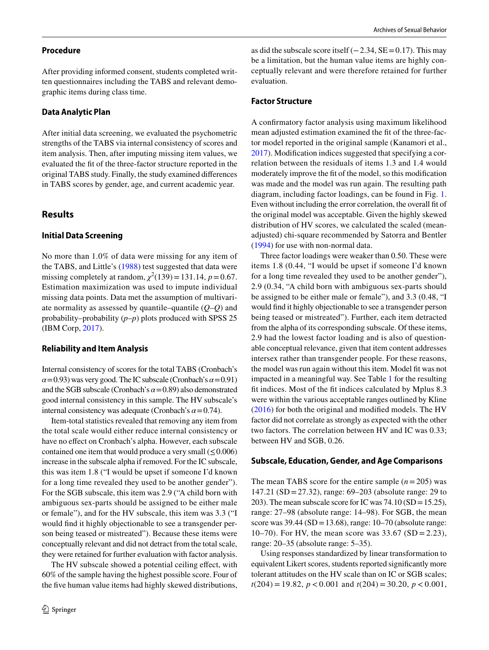## **Procedure**

After providing informed consent, students completed written questionnaires including the TABS and relevant demographic items during class time.

#### **Data Analytic Plan**

After initial data screening, we evaluated the psychometric strengths of the TABS via internal consistency of scores and item analysis. Then, after imputing missing item values, we evaluated the ft of the three-factor structure reported in the original TABS study. Finally, the study examined diferences in TABS scores by gender, age, and current academic year.

# **Results**

### **Initial Data Screening**

No more than 1.0% of data were missing for any item of the TABS, and Little's ([1988](#page-7-21)) test suggested that data were missing completely at random,  $\chi^2(139) = 131.14$ ,  $p = 0.67$ . Estimation maximization was used to impute individual missing data points. Data met the assumption of multivariate normality as assessed by quantile–quantile (*Q*–*Q*) and probability–probability (*p*–*p*) plots produced with SPSS 25 (IBM Corp, [2017\)](#page-6-21).

## **Reliability and Item Analysis**

Internal consistency of scores for the total TABS (Cronbach's  $\alpha$ =0.93) was very good. The IC subscale (Cronbach's  $\alpha$ =0.91) and the SGB subscale (Cronbach's *α*=0.89) also demonstrated good internal consistency in this sample. The HV subscale's internal consistency was adequate (Cronbach's *α*=0.74).

Item-total statistics revealed that removing any item from the total scale would either reduce internal consistency or have no effect on Cronbach's alpha. However, each subscale contained one item that would produce a very small  $(\leq 0.006)$ increase in the subscale alpha if removed. For the IC subscale, this was item 1.8 ("I would be upset if someone I'd known for a long time revealed they used to be another gender"). For the SGB subscale, this item was 2.9 ("A child born with ambiguous sex-parts should be assigned to be either male or female"), and for the HV subscale, this item was 3.3 ("I would fnd it highly objectionable to see a transgender person being teased or mistreated"). Because these items were conceptually relevant and did not detract from the total scale, they were retained for further evaluation with factor analysis.

The HV subscale showed a potential ceiling effect, with 60% of the sample having the highest possible score. Four of the five human value items had highly skewed distributions,

as did the subscale score itself  $(-2.34, SE=0.17)$ . This may be a limitation, but the human value items are highly conceptually relevant and were therefore retained for further evaluation.

#### **Factor Structure**

A confrmatory factor analysis using maximum likelihood mean adjusted estimation examined the fit of the three-factor model reported in the original sample (Kanamori et al., [2017](#page-7-20)). Modifcation indices suggested that specifying a correlation between the residuals of items 1.3 and 1.4 would moderately improve the ft of the model, so this modifcation was made and the model was run again. The resulting path diagram, including factor loadings, can be found in Fig. [1.](#page-4-0) Even without including the error correlation, the overall ft of the original model was acceptable. Given the highly skewed distribution of HV scores, we calculated the scaled (meanadjusted) chi-square recommended by Satorra and Bentler ([1994\)](#page-7-22) for use with non-normal data.

Three factor loadings were weaker than 0.50. These were items 1.8 (0.44, "I would be upset if someone I'd known for a long time revealed they used to be another gender"), 2.9 (0.34, "A child born with ambiguous sex-parts should be assigned to be either male or female"), and 3.3 (0.48, "I would fnd it highly objectionable to see a transgender person being teased or mistreated"). Further, each item detracted from the alpha of its corresponding subscale. Of these items, 2.9 had the lowest factor loading and is also of questionable conceptual relevance, given that item content addresses intersex rather than transgender people. For these reasons, the model was run again without this item. Model fit was not impacted in a meaningful way. See Table [1](#page-4-1) for the resulting ft indices. Most of the ft indices calculated by Mplus 8.3 were within the various acceptable ranges outlined by Kline ([2016](#page-7-23)) for both the original and modifed models. The HV factor did not correlate as strongly as expected with the other two factors. The correlation between HV and IC was 0.33; between HV and SGB, 0.26.

#### **Subscale, Education, Gender, and Age Comparisons**

The mean TABS score for the entire sample  $(n=205)$  was 147.21 (SD =27.32), range: 69–203 (absolute range: 29 to 203). The mean subscale score for IC was 74.10 (SD=15.25), range: 27–98 (absolute range: 14–98). For SGB, the mean score was 39.44 (SD=13.68), range: 10–70 (absolute range: 10–70). For HV, the mean score was  $33.67$  (SD = 2.23), range: 20–35 (absolute range: 5–35).

Using responses standardized by linear transformation to equivalent Likert scores, students reported signifcantly more tolerant attitudes on the HV scale than on IC or SGB scales; *t*(204) = 19.82, *p* < 0.001 and *t*(204) = 30.20, *p* < 0.001,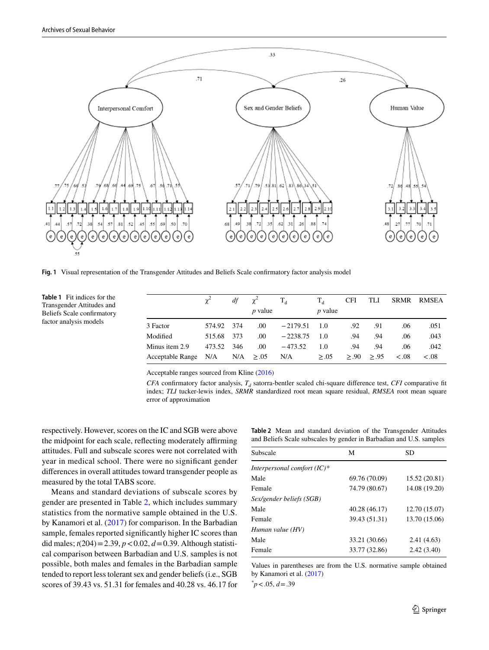

<span id="page-4-0"></span>**Fig. 1** Visual representation of the Transgender Attitudes and Beliefs Scale confrmatory factor analysis model

<span id="page-4-1"></span>**Table 1** Fit indices for the Transgender Attitudes and Beliefs Scale confrmatory factor analysis models

|                                       |            |     | $df = \gamma^2$ | $T_{A}$        | $T_{A}$        | CFI | TLI                 |       | SRMR RMSEA |
|---------------------------------------|------------|-----|-----------------|----------------|----------------|-----|---------------------|-------|------------|
|                                       |            |     | <i>p</i> value  |                | <i>p</i> value |     |                     |       |            |
| 3 Factor                              | 574.92 374 |     | .00.            | $-2179.51$ 1.0 |                | .92 | .91                 | .06   | .051       |
| Modified                              | 515.68 373 |     | .00.            | $-2238.75$     | - 1.0          | .94 | .94                 | .06   | .043       |
| Minus item 2.9                        | 473.52     | 346 | .00.            | $-473.52$      | 1.0            | .94 | .94                 | .06   | .042       |
| Acceptable Range $N/A$ $N/A \ge 0.05$ |            |     |                 | $N/A \geq .05$ |                |     | $\geq 90$ $\geq 95$ | &0.08 | < .08      |
|                                       |            |     |                 |                |                |     |                     |       |            |

Acceptable ranges sourced from Kline [\(2016](#page-7-23))

*CFA* confirmatory factor analysis,  $T<sub>d</sub>$  satorra-bentler scaled chi-square difference test, *CFI* comparative fit index; *TLI* tucker-lewis index, *SRMR* standardized root mean square residual, *RMSEA* root mean square error of approximation

respectively. However, scores on the IC and SGB were above the midpoint for each scale, reflecting moderately affirming attitudes. Full and subscale scores were not correlated with year in medical school. There were no signifcant gender diferences in overall attitudes toward transgender people as measured by the total TABS score.

Means and standard deviations of subscale scores by gender are presented in Table [2,](#page-4-2) which includes summary statistics from the normative sample obtained in the U.S. by Kanamori et al. ([2017\)](#page-7-20) for comparison. In the Barbadian sample, females reported signifcantly higher IC scores than did males;  $t(204) = 2.39$ ,  $p < 0.02$ ,  $d = 0.39$ . Although statistical comparison between Barbadian and U.S. samples is not possible, both males and females in the Barbadian sample tended to report less tolerant sex and gender beliefs (i.e., SGB scores of 39.43 vs. 51.31 for females and 40.28 vs. 46.17 for <span id="page-4-2"></span>**Table 2** Mean and standard deviation of the Transgender Attitudes and Beliefs Scale subscales by gender in Barbadian and U.S. samples

| Subscale                       | M             | <b>SD</b>     |
|--------------------------------|---------------|---------------|
| Interpersonal comfort $(IC)^*$ |               |               |
| Male                           | 69.76 (70.09) | 15.52 (20.81) |
| Female                         | 74.79 (80.67) | 14.08 (19.20) |
| Sex/gender beliefs (SGB)       |               |               |
| Male                           | 40.28 (46.17) | 12.70 (15.07) |
| Female                         | 39.43 (51.31) | 13.70 (15.06) |
| Human value (HV)               |               |               |
| Male                           | 33.21 (30.66) | 2.41(4.63)    |
| Female                         | 33.77 (32.86) | 2.42(3.40)    |

Values in parentheses are from the U.S. normative sample obtained by Kanamori et al. [\(2017](#page-7-20))

*\* p*<.05, *d*=.39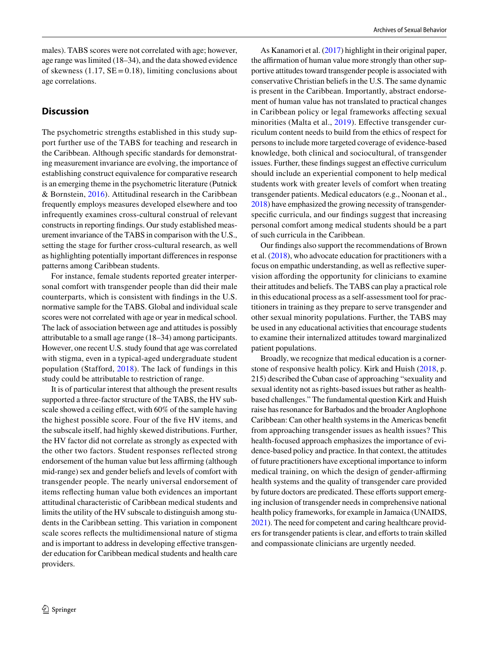males). TABS scores were not correlated with age; however, age range was limited (18–34), and the data showed evidence of skewness (1.17,  $SE = 0.18$ ), limiting conclusions about age correlations.

# **Discussion**

The psychometric strengths established in this study support further use of the TABS for teaching and research in the Caribbean. Although specifc standards for demonstrating measurement invariance are evolving, the importance of establishing construct equivalence for comparative research is an emerging theme in the psychometric literature (Putnick & Bornstein, [2016\)](#page-7-24). Attitudinal research in the Caribbean frequently employs measures developed elsewhere and too infrequently examines cross-cultural construal of relevant constructs in reporting fndings. Our study established measurement invariance of the TABS in comparison with the U.S., setting the stage for further cross-cultural research, as well as highlighting potentially important diferences in response patterns among Caribbean students.

For instance, female students reported greater interpersonal comfort with transgender people than did their male counterparts, which is consistent with fndings in the U.S. normative sample for the TABS. Global and individual scale scores were not correlated with age or year in medical school. The lack of association between age and attitudes is possibly attributable to a small age range (18–34) among participants. However, one recent U.S. study found that age was correlated with stigma, even in a typical-aged undergraduate student population (Stafford, [2018](#page-8-5)). The lack of fundings in this study could be attributable to restriction of range.

It is of particular interest that although the present results supported a three-factor structure of the TABS, the HV subscale showed a ceiling effect, with 60% of the sample having the highest possible score. Four of the fve HV items, and the subscale itself, had highly skewed distributions. Further, the HV factor did not correlate as strongly as expected with the other two factors. Student responses reflected strong endorsement of the human value but less affirming (although mid-range) sex and gender beliefs and levels of comfort with transgender people. The nearly universal endorsement of items refecting human value both evidences an important attitudinal characteristic of Caribbean medical students and limits the utility of the HV subscale to distinguish among students in the Caribbean setting. This variation in component scale scores refects the multidimensional nature of stigma and is important to address in developing efective transgender education for Caribbean medical students and health care providers.

As Kanamori et al. [\(2017](#page-7-20)) highlight in their original paper, the affirmation of human value more strongly than other supportive attitudes toward transgender people is associated with conservative Christian beliefs in the U.S. The same dynamic is present in the Caribbean. Importantly, abstract endorsement of human value has not translated to practical changes in Caribbean policy or legal frameworks afecting sexual minorities (Malta et al., [2019](#page-7-25)). Effective transgender curriculum content needs to build from the ethics of respect for persons to include more targeted coverage of evidence-based knowledge, both clinical and sociocultural, of transgender issues. Further, these findings suggest an effective curriculum should include an experiential component to help medical students work with greater levels of comfort when treating transgender patients. Medical educators (e.g., Noonan et al., [2018\)](#page-7-26) have emphasized the growing necessity of transgenderspecifc curricula, and our fndings suggest that increasing personal comfort among medical students should be a part of such curricula in the Caribbean.

Our fndings also support the recommendations of Brown et al. [\(2018](#page-6-16)), who advocate education for practitioners with a focus on empathic understanding, as well as refective supervision afording the opportunity for clinicians to examine their attitudes and beliefs. The TABS can play a practical role in this educational process as a self-assessment tool for practitioners in training as they prepare to serve transgender and other sexual minority populations. Further, the TABS may be used in any educational activities that encourage students to examine their internalized attitudes toward marginalized patient populations.

Broadly, we recognize that medical education is a cornerstone of responsive health policy. Kirk and Huish [\(2018,](#page-7-27) p. 215) described the Cuban case of approaching "sexuality and sexual identity not as rights-based issues but rather as healthbased challenges." The fundamental question Kirk and Huish raise has resonance for Barbados and the broader Anglophone Caribbean: Can other health systems in the Americas beneft from approaching transgender issues as health issues? This health-focused approach emphasizes the importance of evidence-based policy and practice. In that context, the attitudes of future practitioners have exceptional importance to inform medical training, on which the design of gender-affirming health systems and the quality of transgender care provided by future doctors are predicated. These efforts support emerging inclusion of transgender needs in comprehensive national health policy frameworks, for example in Jamaica (UNAIDS, [2021](#page-8-6)). The need for competent and caring healthcare providers for transgender patients is clear, and eforts to train skilled and compassionate clinicians are urgently needed.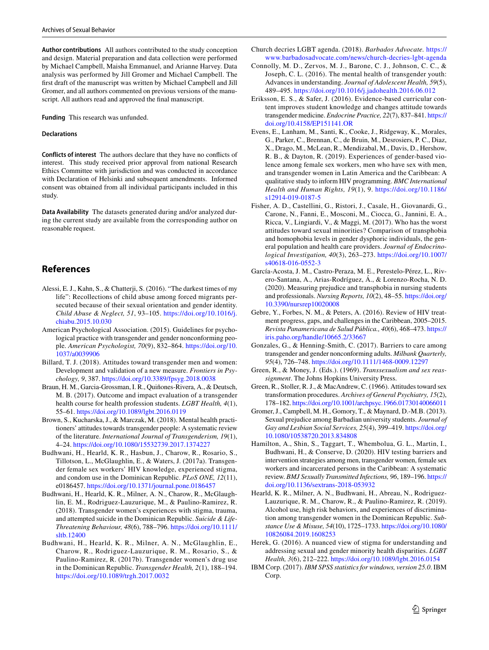**Author contributions** All authors contributed to the study conception and design. Material preparation and data collection were performed by Michael Campbell, Maisha Emmanuel, and Arianne Harvey. Data analysis was performed by Jill Gromer and Michael Campbell. The frst draft of the manuscript was written by Michael Campbell and Jill Gromer, and all authors commented on previous versions of the manuscript. All authors read and approved the fnal manuscript.

**Funding** This research was unfunded.

#### **Declarations**

**Conflicts of interest** The authors declare that they have no conficts of interest. This study received prior approval from national Research Ethics Committee with jurisdiction and was conducted in accordance with Declaration of Helsinki and subsequent amendments. Informed consent was obtained from all individual participants included in this study.

**Data Availability** The datasets generated during and/or analyzed during the current study are available from the corresponding author on reasonable request.

# **References**

- <span id="page-6-7"></span>Alessi, E. J., Kahn, S., & Chatterji, S. (2016). "The darkest times of my life": Recollections of child abuse among forced migrants persecuted because of their sexual orientation and gender identity. *Child Abuse & Neglect, 51*, 93–105. [https://doi.org/10.1016/j.](https://doi.org/10.1016/j.chiabu.2015.10.030) [chiabu.2015.10.030](https://doi.org/10.1016/j.chiabu.2015.10.030)
- <span id="page-6-0"></span>American Psychological Association. (2015). Guidelines for psychological practice with transgender and gender nonconforming people. *American Psychologist, 70*(9), 832–864. [https://doi.org/10.](https://doi.org/10.1037/a0039906) [1037/a0039906](https://doi.org/10.1037/a0039906)
- <span id="page-6-17"></span>Billard, T. J. (2018). Attitudes toward transgender men and women: Development and validation of a new measure. *Frontiers in Psychology, 9*, 387.<https://doi.org/10.3389/fpsyg.2018.0038>
- <span id="page-6-14"></span>Braun, H. M., Garcia-Grossman, I. R., Quiñones-Rivera, A., & Deutsch, M. B. (2017). Outcome and impact evaluation of a transgender health course for health profession students. *LGBT Health, 4*(1), 55–61. <https://doi.org/10.1089/lgbt.2016.0119>
- <span id="page-6-16"></span>Brown, S., Kucharska, J., & Marczak, M. (2018). Mental health practitioners' attitudes towards transgender people: A systematic review of the literature. *International Journal of Transgenderism, 19*(1), 4–24.<https://doi.org/10.1080/15532739.2017.1374227>
- <span id="page-6-4"></span>Budhwani, H., Hearld, K. R., Hasbun, J., Charow, R., Rosario, S., Tillotson, L., McGlaughlin, E., & Waters, J. (2017a). Transgender female sex workers' HIV knowledge, experienced stigma, and condom use in the Dominican Republic. *PLoS ONE, 12*(11), e0186457.<https://doi.org/10.1371/journal.pone.0186457>
- <span id="page-6-8"></span>Budhwani, H., Hearld, K. R., Milner, A. N., Charow, R., McGlaughlin, E. M., Rodriguez-Lauzurique, M., & Paulino-Ramirez, R. (2018). Transgender women's experiences with stigma, trauma, and attempted suicide in the Dominican Republic. *Suicide & Life-Threatening Behaviour, 48*(6), 788–796. [https://doi.org/10.1111/](https://doi.org/10.1111/sltb.12400) [sltb.12400](https://doi.org/10.1111/sltb.12400)
- Budhwani, H., Hearld, K. R., Milner, A. N., McGlaughlin, E., Charow, R., Rodriguez-Lauzurique, R. M., Rosario, S., & Paulino-Ramirez, R. (2017b). Transgender women's drug use in the Dominican Republic. *Transgender Health, 2*(1), 188–194. <https://doi.org/10.1089/trgh.2017.0032>
- <span id="page-6-18"></span>Church decries LGBT agenda. (2018). *Barbados Advocate.* [https://](https://www.barbadosadvocate.com/news/church-decries-lgbt-agenda) [www.barbadosadvocate.com/news/church-decries-lgbt-agenda](https://www.barbadosadvocate.com/news/church-decries-lgbt-agenda)
- <span id="page-6-6"></span>Connolly, M. D., Zervos, M. J., Barone, C. J., Johnson, C. C., & Joseph, C. L. (2016). The mental health of transgender youth: Advances in understanding. *Journal of Adolescent Health, 59*(5), 489–495.<https://doi.org/10.1016/j.jadohealth.2016.06.012>
- <span id="page-6-15"></span>Eriksson, E. S., & Safer, J. (2016). Evidence-based curricular content improves student knowledge and changes attitude towards transgender medicine. *Endocrine Practice, 22*(7), 837–841. [https://](https://doi.org/10.4158/EP151141.OR) [doi.org/10.4158/EP151141.OR](https://doi.org/10.4158/EP151141.OR)
- <span id="page-6-10"></span>Evens, E., Lanham, M., Santi, K., Cooke, J., Ridgeway, K., Morales, G., Parker, C., Brennan, C., de Bruin, M., Desrosiers, P. C., Diaz, X., Drago, M., McLean, R., Mendizabal, M., Davis, D., Hershow, R. B., & Dayton, R. (2019). Experiences of gender-based violence among female sex workers, men who have sex with men, and transgender women in Latin America and the Caribbean: A qualitative study to inform HIV programming. *BMC International Health and Human Rights, 19*(1), 9. [https://doi.org/10.1186/](https://doi.org/10.1186/s12914-019-0187-5) [s12914-019-0187-5](https://doi.org/10.1186/s12914-019-0187-5)
- <span id="page-6-19"></span>Fisher, A. D., Castellini, G., Ristori, J., Casale, H., Giovanardi, G., Carone, N., Fanni, E., Mosconi, M., Ciocca, G., Jannini, E. A., Ricca, V., Lingiardi, V., & Maggi, M. (2017). Who has the worst attitudes toward sexual minorities? Comparison of transphobia and homophobia levels in gender dysphoric individuals, the general population and health care providers. *Journal of Endocrinological Investigation, 40*(3), 263–273. [https://doi.org/10.1007/](https://doi.org/10.1007/s40618-016-0552-3) [s40618-016-0552-3](https://doi.org/10.1007/s40618-016-0552-3)
- <span id="page-6-20"></span>García-Acosta, J. M., Castro-Peraza, M. E., Perestelo-Pérez, L., Rivero-Santana, A., Arias-Rodríguez, Á., & Lorenzo-Rocha, N. D. (2020). Measuring prejudice and transphobia in nursing students and professionals. *Nursing Reports, 10*(2), 48–55. [https://doi.org/](https://doi.org/10.3390/nursrep10020008) [10.3390/nursrep10020008](https://doi.org/10.3390/nursrep10020008)
- <span id="page-6-3"></span>Gebre, Y., Forbes, N. M., & Peters, A. (2016). Review of HIV treatment progress, gaps, and challenges in the Caribbean, 2005–2015. *Revista Panamericana de Salud Pública., 40*(6), 468–473. [https://](https://iris.paho.org/handle/10665.2/33667) [iris.paho.org/handle/10665.2/33667](https://iris.paho.org/handle/10665.2/33667)
- <span id="page-6-9"></span>Gonzales, G., & Henning-Smith, C. (2017). Barriers to care among transgender and gender nonconforming adults. *Milbank Quarterly, 95*(4), 726–748.<https://doi.org/10.1111/1468-0009.12297>
- <span id="page-6-12"></span>Green, R., & Money, J. (Eds.). (1969). *Transsexualism and sex reassignment*. The Johns Hopkins University Press.
- <span id="page-6-13"></span>Green, R., Stoller, R. J., & MacAndrew, C. (1966). Attitudes toward sex transformation procedures. *Archives of General Psychiatry, 15*(2), 178–182.<https://doi.org/10.1001/archpsyc.1966.01730140066011>
- <span id="page-6-2"></span>Gromer, J., Campbell, M. H., Gomory, T., & Maynard, D.-M.B. (2013). Sexual prejudice among Barbadian university students. *Journal of Gay and Lesbian Social Services, 25*(4), 399–419. [https://doi.org/](https://doi.org/10.1080/10538720.2013.834808) [10.1080/10538720.2013.834808](https://doi.org/10.1080/10538720.2013.834808)
- <span id="page-6-11"></span>Hamilton, A., Shin, S., Taggart, T., Whembolua, G. L., Martin, I., Budhwani, H., & Conserve, D. (2020). HIV testing barriers and intervention strategies among men, transgender women, female sex workers and incarcerated persons in the Caribbean: A systematic review. *BMJ Sexually Transmitted Infections, 96*, 189–196. [https://](https://doi.org/10.1136/sextrans-2018-053932) [doi.org/10.1136/sextrans-2018-053932](https://doi.org/10.1136/sextrans-2018-053932)
- <span id="page-6-5"></span>Hearld, K. R., Milner, A. N., Budhwani, H., Abreau, N., Rodriguez-Lauzurique, R. M., Charow, R., & Paulino-Ramirez, R. (2019). Alcohol use, high risk behaviors, and experiences of discrimination among transgender women in the Dominican Republic. *Substance Use & Misuse, 54*(10), 1725–1733. [https://doi.org/10.1080/](https://doi.org/10.1080/10826084.2019.1608253) [10826084.2019.1608253](https://doi.org/10.1080/10826084.2019.1608253)
- <span id="page-6-1"></span>Herek, G. (2016). A nuanced view of stigma for understanding and addressing sexual and gender minority health disparities. *LGBT Health, 3*(6), 212–222.<https://doi.org/10.1089/lgbt.2016.0154>
- <span id="page-6-21"></span>IBM Corp. (2017). *IBM SPSS statistics for windows, version 25.0*. IBM Corp.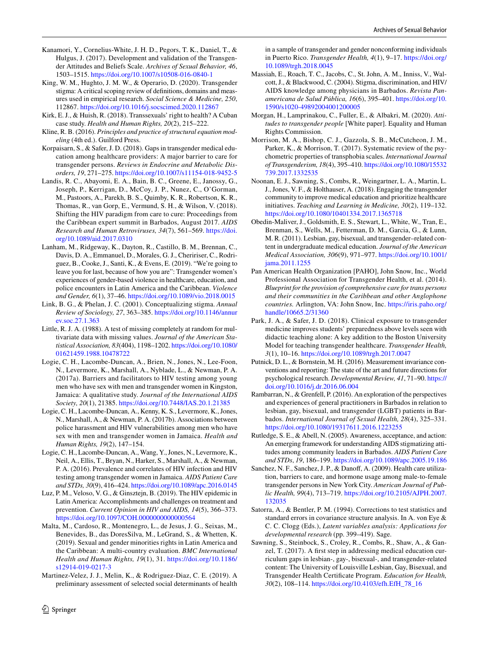- <span id="page-7-20"></span>Kanamori, Y., Cornelius-White, J. H. D., Pegors, T. K., Daniel, T., & Hulgus, J. (2017). Development and validation of the Transgender Attitudes and Beliefs Scale. *Archives of Sexual Behavior, 46*, 1503–1515. <https://doi.org/10.1007/s10508-016-0840-1>
- <span id="page-7-1"></span>King, W. M., Hughto, J. M. W., & Operario, D. (2020). Transgender stigma: A critical scoping review of defnitions, domains and measures used in empirical research. *Social Science & Medicine, 250*, 112867.<https://doi.org/10.1016/j.socscimed.2020.112867>
- <span id="page-7-27"></span>Kirk, E. J., & Huish, R. (2018). Transsexuals' right to health? A Cuban case study. *Health and Human Rights, 20*(2), 215–222.
- <span id="page-7-23"></span>Kline, R. B. (2016). *Principles and practice of structural equation modeling* (4th ed.). Guilford Press.
- <span id="page-7-12"></span>Korpaisarn, S., & Safer, J. D. (2018). Gaps in transgender medical education among healthcare providers: A major barrier to care for transgender persons. *Reviews in Endocrine and Metabolic Disorders, 19*, 271–275.<https://doi.org/10.1007/s11154-018-9452-5>
- <span id="page-7-6"></span>Landis, R. C., Abayomi, E. A., Bain, B. C., Greene, E., Janossy, G., Joseph, P., Kerrigan, D., McCoy, J. P., Nunez, C., O'Gorman, M., Pastoors, A., Parekh, B. S., Quimby, K. R., Robertson, K. R., Thomas, R., van Gorp, E., Vermund, S. H., & Wilson, V. (2018). Shifting the HIV paradigm from care to cure: Proceedings from the Caribbean expert summit in Barbados, August 2017. *AIDS Research and Human Retroviruses, 34*(7), 561–569. [https://doi.](https://doi.org/10.1089/aid.2017.0310) [org/10.1089/aid.2017.0310](https://doi.org/10.1089/aid.2017.0310)
- <span id="page-7-7"></span>Lanham, M., Ridgeway, K., Dayton, R., Castillo, B. M., Brennan, C., Davis, D. A., Emmanuel, D., Morales, G. J., Cheririser, C., Rodriguez, B., Cooke, J., Santi, K., & Evens, E. (2019). "We're going to leave you for last, because of how you are": Transgender women's experiences of gender-based violence in healthcare, education, and police encounters in Latin America and the Caribbean. *Violence and Gender, 6*(1), 37–46.<https://doi.org/10.1089/vio.2018.0015>
- <span id="page-7-0"></span>Link, B. G., & Phelan, J. C. (2001). Conceptualizing stigma. *Annual Review of Sociology, 27*, 363–385. [https://doi.org/10.1146/annur](https://doi.org/10.1146/annurev.soc.27.1.363) [ev.soc.27.1.363](https://doi.org/10.1146/annurev.soc.27.1.363)
- <span id="page-7-21"></span>Little, R. J. A. (1988). A test of missing completely at random for multivariate data with missing values. *Journal of the American Statistical Association, 83*(404), 1198–1202. [https://doi.org/10.1080/](https://doi.org/10.1080/01621459.1988.10478722) [01621459.1988.10478722](https://doi.org/10.1080/01621459.1988.10478722)
- <span id="page-7-3"></span>Logie, C. H., Lacombe-Duncan, A., Brien, N., Jones, N., Lee-Foon, N., Levermore, K., Marshall, A., Nyblade, L., & Newman, P. A. (2017a). Barriers and facilitators to HIV testing among young men who have sex with men and transgender women in Kingston, Jamaica: A qualitative study. *Journal of the International AIDS Society, 20*(1), 21385.<https://doi.org/10.7448/IAS.20.1.21385>
- <span id="page-7-9"></span>Logie, C. H., Lacombe-Duncan, A., Kenny, K. S., Levermore, K., Jones, N., Marshall, A., & Newman, P. A. (2017b). Associations between police harassment and HIV vulnerabilities among men who have sex with men and transgender women in Jamaica. *Health and Human Rights, 19*(2), 147–154.
- <span id="page-7-8"></span>Logie, C. H., Lacombe-Duncan, A., Wang, Y., Jones, N., Levermore, K., Neil, A., Ellis, T., Bryan, N., Harker, S., Marshall, A., & Newman, P. A. (2016). Prevalence and correlates of HIV infection and HIV testing among transgender women in Jamaica. *AIDS Patient Care and STDs, 30*(9), 416–424.<https://doi.org/10.1089/apc.2016.0145>
- <span id="page-7-10"></span>Luz, P. M., Veloso, V. G., & Ginsztejn, B. (2019). The HIV epidemic in Latin America: Accomplishments and challenges on treatment and prevention. *Current Opinion in HIV and AIDS, 14*(5), 366–373. <https://doi.org/10.1097/COH.0000000000000564>
- <span id="page-7-25"></span>Malta, M., Cardoso, R., Montenegro, L., de Jesus, J. G., Seixas, M., Benevides, B., das DoresSilva, M., LeGrand, S., & Whetten, K. (2019). Sexual and gender minorities rights in Latin America and the Caribbean: A multi-country evaluation. *BMC International Health and Human Rights, 19*(1), 31. [https://doi.org/10.1186/](https://doi.org/10.1186/s12914-019-0217-3) [s12914-019-0217-3](https://doi.org/10.1186/s12914-019-0217-3)
- <span id="page-7-5"></span>Martinez-Velez, J. J., Melin, K., & Rodriguez-Diaz, C. E. (2019). A preliminary assessment of selected social determinants of health

in a sample of transgender and gender nonconforming individuals in Puerto Rico. *Transgender Health, 4*(1), 9–17. [https://doi.org/](https://doi.org/10.1089/trgh.2018.0045) [10.1089/trgh.2018.0045](https://doi.org/10.1089/trgh.2018.0045)

- <span id="page-7-16"></span>Massiah, E., Roach, T. C., Jacobs, C., St. John, A. M., Inniss, V., Walcott, J., & Blackwood, C. (2004). Stigma, discrimination, and HIV/ AIDS knowledge among physicians in Barbados. *Revista Panamericana de Salud Pública, 16*(6), 395–401. [https://doi.org/10.](https://doi.org/10.1590/s1020-49892004001200005) [1590/s1020-49892004001200005](https://doi.org/10.1590/s1020-49892004001200005)
- <span id="page-7-19"></span>Morgan, H., Lamprinakou, C., Fuller, E., & Albakri, M. (2020). *Attitudes to transgender people* [White paper]. Equality and Human Rights Commission.
- <span id="page-7-18"></span>Morrison, M. A., Bishop, C. J., Gazzola, S. B., McCutcheon, J. M., Parker, K., & Morrison, T. (2017). Systematic review of the psychometric properties of transphobia scales. *International Journal of Transgenderism, 18*(4), 395–410. [https://doi.org/10.1080/15532](https://doi.org/10.1080/15532739.2017.1332535) [739.2017.1332535](https://doi.org/10.1080/15532739.2017.1332535)
- <span id="page-7-26"></span>Noonan, E. J., Sawning, S., Combs, R., Weingartner, L. A., Martin, L. J., Jones, V. F., & Holthauser, A. (2018). Engaging the transgender community to improve medical education and prioritize healthcare initiatives. *Teaching and Learning in Medicine, 30*(2), 119–132. <https://doi.org/10.1080/10401334.2017.1365718>
- <span id="page-7-11"></span>Obedin-Maliver, J., Goldsmith, E. S., Stewart, L., White, W., Tran, E., Brenman, S., Wells, M., Fetterman, D. M., Garcia, G., & Lunn, M. R. (2011). Lesbian, gay, bisexual, and transgender–related content in undergraduate medical education. *Journal of the American Medical Association, 306*(9), 971–977. [https://doi.org/10.1001/](https://doi.org/10.1001/jama.2011.1255) [jama.2011.1255](https://doi.org/10.1001/jama.2011.1255)
- <span id="page-7-2"></span>Pan American Health Organization [PAHO], John Snow, Inc., World Professional Association for Transgender Health, et al. (2014). *Blueprint for the provision of comprehensive care for trans persons and their communities in the Caribbean and other Anglophone countries.* Arlington, VA: John Snow, Inc. [https://iris.paho.org/](https://iris.paho.org/handle/10665.2/31360) [handle/10665.2/31360](https://iris.paho.org/handle/10665.2/31360)
- <span id="page-7-13"></span>Park, J. A., & Safer, J. D. (2018). Clinical exposure to transgender medicine improves students' preparedness above levels seen with didactic teaching alone: A key addition to the Boston University Model for teaching transgender healthcare. *Transgender Health, 3*(1), 10–16.<https://doi.org/10.1089/trgh.2017.0047>
- <span id="page-7-24"></span>Putnick, D. L., & Bornstein, M. H. (2016). Measurement invariance conventions and reporting: The state of the art and future directions for psychological research. *Developmental Review, 41*, 71–90. [https://](https://doi.org/10.1016/j.dr.2016.06.004) [doi.org/10.1016/j.dr.2016.06.004](https://doi.org/10.1016/j.dr.2016.06.004)
- <span id="page-7-15"></span>Rambarran, N., & Grenfell, P. (2016). An exploration of the perspectives and experiences of general practitioners in Barbados in relation to lesbian, gay, bisexual, and transgender (LGBT) patients in Barbados. *International Journal of Sexual Health, 28*(4), 325–331. <https://doi.org/10.1080/19317611.2016.1223255>
- <span id="page-7-17"></span>Rutledge, S. E., & Abell, N. (2005). Awareness, acceptance, and action: An emerging framework for understanding AIDS stigmatizing attitudes among community leaders in Barbados. *AIDS Patient Care and STDs*, *19*, 186–199.<https://doi.org/10.1089/apc.2005.19.186>
- <span id="page-7-4"></span>Sanchez, N. F., Sanchez, J. P., & Danoff, A. (2009). Health care utilization, barriers to care, and hormone usage among male-to-female transgender persons in New York City. *American Journal of Public Health, 99*(4), 713–719. [https://doi.org/10.2105/AJPH.2007.](https://doi.org/10.2105/AJPH.2007.132035) [132035](https://doi.org/10.2105/AJPH.2007.132035)
- <span id="page-7-22"></span>Satorra, A., & Bentler, P. M. (1994). Corrections to test statistics and standard errors in covariance structure analysis. In A. von Eye & C. C. Clogg (Eds.), *Latent variables analysis: Applications for developmental research* (pp. 399–419). Sage.
- <span id="page-7-14"></span>Sawning, S., Steinbock, S., Croley, R., Combs, R., Shaw, A., & Ganzel, T. (2017). A frst step in addressing medical education curriculum gaps in lesbian-, gay-, bisexual-, and transgender-related content: The University of Louisville Lesbian, Gay, Bisexual, and Transgender Health Certifcate Program. *Education for Health, 30*(2), 108–114. [https://doi.org/10.4103/efh.EfH\\_78\\_16](https://doi.org/10.4103/efh.EfH_78_16)